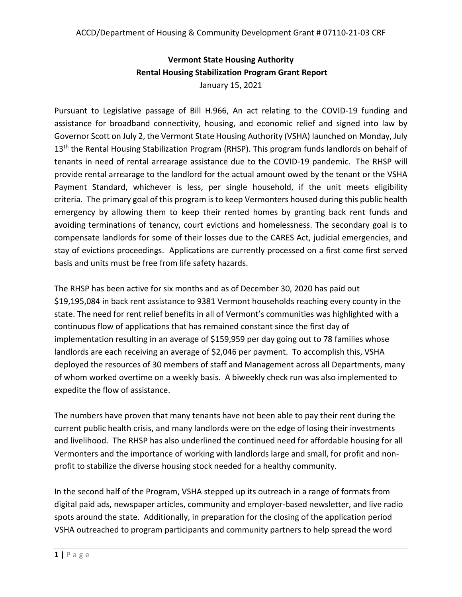# **Vermont State Housing Authority Rental Housing Stabilization Program Grant Report** January 15, 2021

Pursuant to Legislative passage of Bill H.966, An act relating to the COVID-19 funding and assistance for broadband connectivity, housing, and economic relief and signed into law by Governor Scott on July 2, the Vermont State Housing Authority (VSHA) launched on Monday, July 13<sup>th</sup> the Rental Housing Stabilization Program (RHSP). This program funds landlords on behalf of tenants in need of rental arrearage assistance due to the COVID-19 pandemic. The RHSP will provide rental arrearage to the landlord for the actual amount owed by the tenant or the VSHA Payment Standard, whichever is less, per single household, if the unit meets eligibility criteria. The primary goal of this program is to keep Vermonters housed during this public health emergency by allowing them to keep their rented homes by granting back rent funds and avoiding terminations of tenancy, court evictions and homelessness. The secondary goal is to compensate landlords for some of their losses due to the CARES Act, judicial emergencies, and stay of evictions proceedings. Applications are currently processed on a first come first served basis and units must be free from life safety hazards.

The RHSP has been active for six months and as of December 30, 2020 has paid out \$19,195,084 in back rent assistance to 9381 Vermont households reaching every county in the state. The need for rent relief benefits in all of Vermont's communities was highlighted with a continuous flow of applications that has remained constant since the first day of implementation resulting in an average of \$159,959 per day going out to 78 families whose landlords are each receiving an average of \$2,046 per payment. To accomplish this, VSHA deployed the resources of 30 members of staff and Management across all Departments, many of whom worked overtime on a weekly basis. A biweekly check run was also implemented to expedite the flow of assistance.

The numbers have proven that many tenants have not been able to pay their rent during the current public health crisis, and many landlords were on the edge of losing their investments and livelihood. The RHSP has also underlined the continued need for affordable housing for all Vermonters and the importance of working with landlords large and small, for profit and nonprofit to stabilize the diverse housing stock needed for a healthy community.

In the second half of the Program, VSHA stepped up its outreach in a range of formats from digital paid ads, newspaper articles, community and employer-based newsletter, and live radio spots around the state. Additionally, in preparation for the closing of the application period VSHA outreached to program participants and community partners to help spread the word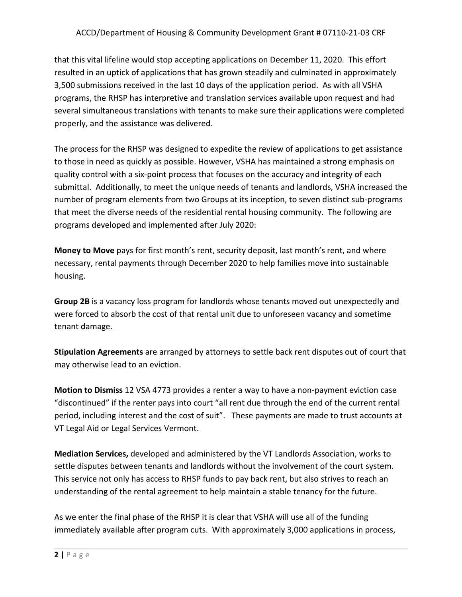#### ACCD/Department of Housing & Community Development Grant # 07110-21-03 CRF

that this vital lifeline would stop accepting applications on December 11, 2020. This effort resulted in an uptick of applications that has grown steadily and culminated in approximately 3,500 submissions received in the last 10 days of the application period. As with all VSHA programs, the RHSP has interpretive and translation services available upon request and had several simultaneous translations with tenants to make sure their applications were completed properly, and the assistance was delivered.

The process for the RHSP was designed to expedite the review of applications to get assistance to those in need as quickly as possible. However, VSHA has maintained a strong emphasis on quality control with a six-point process that focuses on the accuracy and integrity of each submittal. Additionally, to meet the unique needs of tenants and landlords, VSHA increased the number of program elements from two Groups at its inception, to seven distinct sub-programs that meet the diverse needs of the residential rental housing community. The following are programs developed and implemented after July 2020:

**Money to Move** pays for first month's rent, security deposit, last month's rent, and where necessary, rental payments through December 2020 to help families move into sustainable housing.

**Group 2B** is a vacancy loss program for landlords whose tenants moved out unexpectedly and were forced to absorb the cost of that rental unit due to unforeseen vacancy and sometime tenant damage.

**Stipulation Agreements** are arranged by attorneys to settle back rent disputes out of court that may otherwise lead to an eviction.

**Motion to Dismiss** 12 VSA 4773 provides a renter a way to have a non-payment eviction case "discontinued" if the renter pays into court "all rent due through the end of the current rental period, including interest and the cost of suit". These payments are made to trust accounts at VT Legal Aid or Legal Services Vermont.

**Mediation Services,** developed and administered by the VT Landlords Association, works to settle disputes between tenants and landlords without the involvement of the court system. This service not only has access to RHSP funds to pay back rent, but also strives to reach an understanding of the rental agreement to help maintain a stable tenancy for the future.

As we enter the final phase of the RHSP it is clear that VSHA will use all of the funding immediately available after program cuts. With approximately 3,000 applications in process,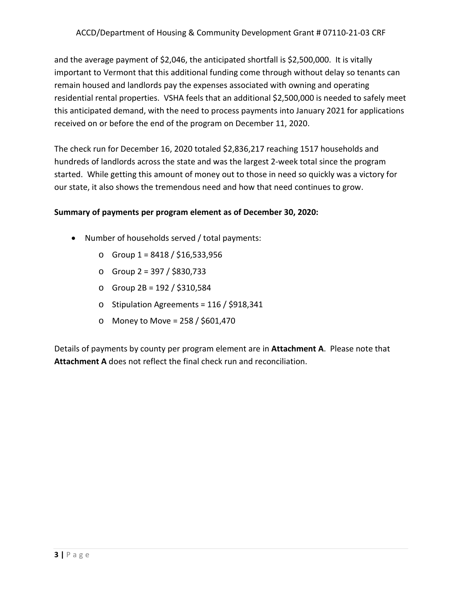and the average payment of \$2,046, the anticipated shortfall is \$2,500,000. It is vitally important to Vermont that this additional funding come through without delay so tenants can remain housed and landlords pay the expenses associated with owning and operating residential rental properties. VSHA feels that an additional \$2,500,000 is needed to safely meet this anticipated demand, with the need to process payments into January 2021 for applications received on or before the end of the program on December 11, 2020.

The check run for December 16, 2020 totaled \$2,836,217 reaching 1517 households and hundreds of landlords across the state and was the largest 2-week total since the program started. While getting this amount of money out to those in need so quickly was a victory for our state, it also shows the tremendous need and how that need continues to grow.

#### **Summary of payments per program element as of December 30, 2020:**

- Number of households served / total payments:
	- o Group 1 = 8418 / \$16,533,956
	- o Group 2 = 397 / \$830,733
	- o Group 2B = 192 / \$310,584
	- o Stipulation Agreements = 116 / \$918,341
	- o Money to Move = 258 / \$601,470

Details of payments by county per program element are in **Attachment A**. Please note that **Attachment A** does not reflect the final check run and reconciliation.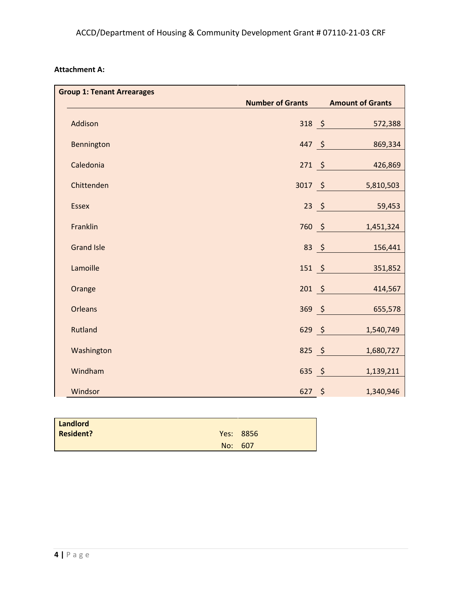| <b>Group 1: Tenant Arrearages</b> |                         |                         |
|-----------------------------------|-------------------------|-------------------------|
|                                   | <b>Number of Grants</b> | <b>Amount of Grants</b> |
| Addison                           | $318$ \$                | 572,388                 |
| Bennington                        | $447$ \$                | 869,334                 |
| Caledonia                         | $271 \quad $$           | 426,869                 |
| Chittenden                        | 3017 \$                 | 5,810,503               |
| <b>Essex</b>                      | $23 \quad $$            | 59,453                  |
| Franklin                          | 760 \$                  | 1,451,324               |
| <b>Grand Isle</b>                 | $83 \; \xi$             | 156,441                 |
| Lamoille                          | $151 \; \S$             | 351,852                 |
| Orange                            | $201 \quad $$           | 414,567                 |
| Orleans                           | $369 - 5$               | 655,578                 |
| Rutland                           | $629$ \$                | 1,540,749               |
| Washington                        | $825$ \$                | 1,680,727               |
| Windham                           | 635 \$                  | 1,139,211               |
| Windsor                           | $627$ \$                | 1,340,946               |

| Landlord         |           |
|------------------|-----------|
| <b>Resident?</b> | Yes: 8856 |
|                  | No: 607   |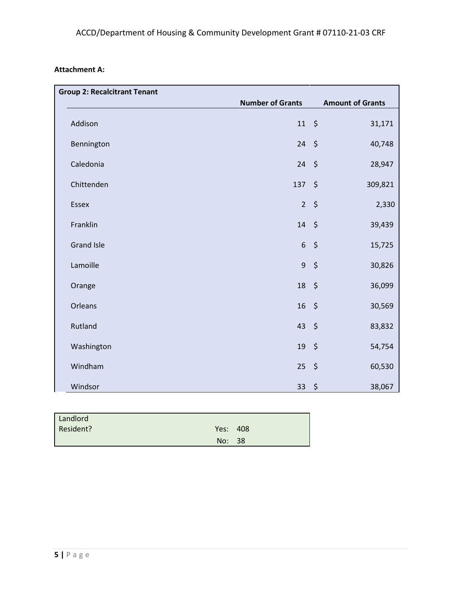| <b>Group 2: Recalcitrant Tenant</b> |                         |                          |
|-------------------------------------|-------------------------|--------------------------|
|                                     | <b>Number of Grants</b> | <b>Amount of Grants</b>  |
| Addison                             | $11 \; \xi$             | 31,171                   |
| Bennington                          | $24 \div$               | 40,748                   |
| Caledonia                           | 24                      | $\ddot{\phi}$<br>28,947  |
| Chittenden                          | 137                     | $\ddot{\phi}$<br>309,821 |
| Essex                               | 2 <sup>1</sup>          | $\zeta$<br>2,330         |
| Franklin                            | $14 \; \xi$             | 39,439                   |
| <b>Grand Isle</b>                   | $6\overline{6}$         | $\zeta$<br>15,725        |
| Lamoille                            | 9 <sub>o</sub>          | \$<br>30,826             |
| Orange                              | $18 \quad $$            | 36,099                   |
| Orleans                             | $16 \frac{1}{2}$        | 30,569                   |
| Rutland                             | 43                      | $\zeta$<br>83,832        |
| Washington                          | 19                      | $\ddot{\phi}$<br>54,754  |
| Windham                             | 25                      | \$<br>60,530             |
| Windsor                             | 33                      | \$<br>38,067             |

| Landlord  |          |  |
|-----------|----------|--|
| Resident? | Yes: 408 |  |
|           | No: 38   |  |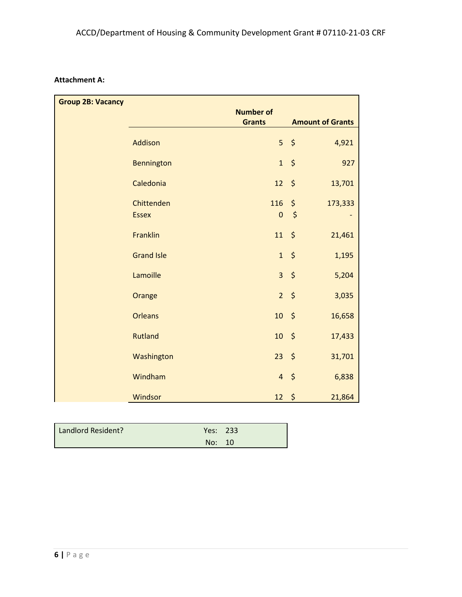| <b>Group 2B: Vacancy</b> |                   |                  |                              |
|--------------------------|-------------------|------------------|------------------------------|
|                          |                   | <b>Number of</b> |                              |
|                          |                   | <b>Grants</b>    | <b>Amount of Grants</b>      |
|                          | <b>Addison</b>    |                  | $5\frac{1}{2}$<br>4,921      |
|                          | Bennington        | $\mathbf{1}$     | \$<br>927                    |
|                          | Caledonia         | 12               | \$<br>13,701                 |
|                          | Chittenden        | 116              | \$<br>173,333                |
|                          | <b>Essex</b>      | $\pmb{0}$        | $\zeta$                      |
|                          | <b>Franklin</b>   | 11               | \$<br>21,461                 |
|                          | <b>Grand Isle</b> | $\mathbf{1}$     | $\ddot{\phi}$<br>1,195       |
|                          | Lamoille          | $\overline{3}$   | $\ddot{\mathsf{S}}$<br>5,204 |
|                          | Orange            | $\overline{2}$   | \$<br>3,035                  |
|                          | <b>Orleans</b>    | $10 \frac{1}{5}$ | 16,658                       |
|                          | <b>Rutland</b>    | $10-10$          | \$<br>17,433                 |
|                          | Washington        | $23 \quad $5$    | 31,701                       |
|                          | Windham           | $\overline{4}$   | $\ddot{\phi}$<br>6,838       |
|                          | Windsor           | $12 \div$        | 21,864                       |

| Landlord Resident? | Yes: 233 |  |
|--------------------|----------|--|
|                    | No: 10   |  |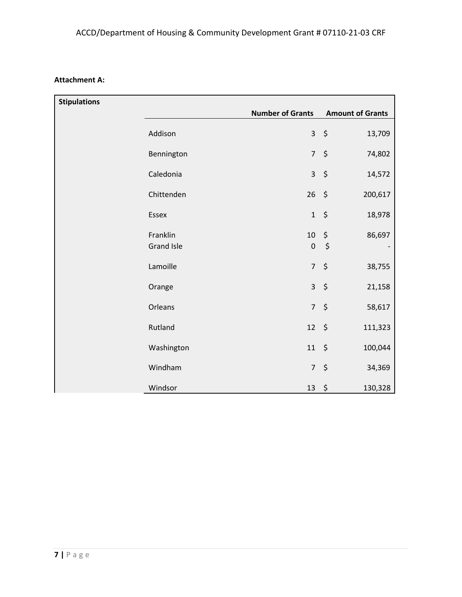| <b>Stipulations</b> |                               | <b>Number of Grants</b> | <b>Amount of Grants</b>              |
|---------------------|-------------------------------|-------------------------|--------------------------------------|
|                     |                               |                         |                                      |
|                     | Addison                       | $\mathbf{3}$            | $\zeta$<br>13,709                    |
|                     | Bennington                    | $\overline{7}$          | \$<br>74,802                         |
|                     | Caledonia                     | $\overline{3}$          | \$<br>14,572                         |
|                     | Chittenden                    | 26                      | $\zeta$<br>200,617                   |
|                     | Essex                         | $\mathbf 1$             | \$<br>18,978                         |
|                     | Franklin<br><b>Grand Isle</b> | $10\,$<br>$\pmb{0}$     | $\boldsymbol{\zeta}$<br>86,697<br>\$ |
|                     |                               |                         |                                      |
|                     | Lamoille                      | $\overline{7}$          | \$<br>38,755                         |
|                     | Orange                        | $\overline{3}$          | \$<br>21,158                         |
|                     | Orleans                       | $\overline{7}$          | \$<br>58,617                         |
|                     | Rutland                       | 12                      | $\zeta$<br>111,323                   |
|                     | Washington                    | 11                      | $\zeta$<br>100,044                   |
|                     | Windham                       | $\overline{7}$          | \$<br>34,369                         |
|                     | Windsor                       | 13                      | $\zeta$<br>130,328                   |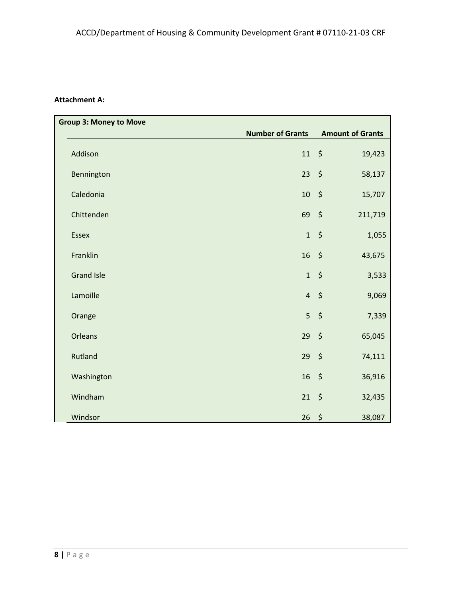| <b>Group 3: Money to Move</b> |                         |                         |
|-------------------------------|-------------------------|-------------------------|
|                               | <b>Number of Grants</b> | <b>Amount of Grants</b> |
| Addison                       | $11 \quad$              | 19,423                  |
| Bennington                    | 23                      | $\zeta$<br>58,137       |
| Caledonia                     | 10                      | $\zeta$<br>15,707       |
| Chittenden                    | 69                      | $\zeta$<br>211,719      |
| <b>Essex</b>                  | 1                       | $\zeta$<br>1,055        |
| Franklin                      | 16                      | $\zeta$<br>43,675       |
| <b>Grand Isle</b>             | $\mathbf{1}$            | $\zeta$<br>3,533        |
| Lamoille                      | $\overline{4}$          | $\zeta$<br>9,069        |
| Orange                        | 5                       | $\zeta$<br>7,339        |
| Orleans                       | 29                      | $\zeta$<br>65,045       |
| Rutland                       | 29                      | $\zeta$<br>74,111       |
| Washington                    | 16                      | $\zeta$<br>36,916       |
| Windham                       | 21                      | \$<br>32,435            |
| Windsor                       | 26                      | \$<br>38,087            |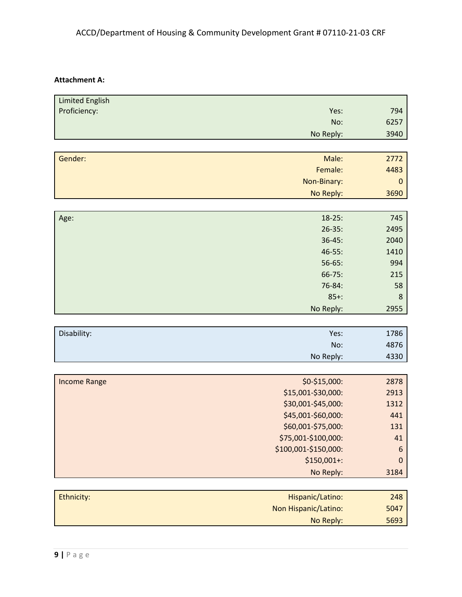| <b>Limited English</b> |                      |             |
|------------------------|----------------------|-------------|
| Proficiency:           | Yes:                 | 794         |
|                        | No:                  | 6257        |
|                        | No Reply:            | 3940        |
|                        |                      |             |
| Gender:                | Male:                | 2772        |
|                        | Female:              | 4483        |
|                        | Non-Binary:          | $\mathbf 0$ |
|                        | No Reply:            | 3690        |
|                        |                      |             |
| Age:                   | $18-25:$             | 745         |
|                        | $26 - 35:$           | 2495        |
|                        | $36 - 45:$           | 2040        |
|                        | $46 - 55:$           | 1410        |
|                        | $56-65:$             | 994         |
|                        | $66 - 75:$           | 215         |
|                        | 76-84:               | 58          |
|                        | $85+:$               | 8           |
|                        | No Reply:            | 2955        |
|                        |                      |             |
| Disability:            | Yes:                 | 1786        |
|                        | No:                  | 4876        |
|                        | No Reply:            | 4330        |
|                        |                      |             |
| <b>Income Range</b>    | \$0-\$15,000:        | 2878        |
|                        | \$15,001-\$30,000:   | 2913        |
|                        | \$30,001-\$45,000:   | 1312        |
|                        | \$45,001-\$60,000:   | 441         |
|                        | \$60,001-\$75,000:   | 131         |
|                        | \$75,001-\$100,000:  | 41          |
|                        | \$100,001-\$150,000: | 6           |
|                        | \$150,001+:          | $\mathbf 0$ |
|                        | No Reply:            | 3184        |
|                        |                      |             |
| Ethnicity:             | Hispanic/Latino:     | 248         |
|                        | Non Hispanic/Latino: | 5047        |
|                        |                      |             |